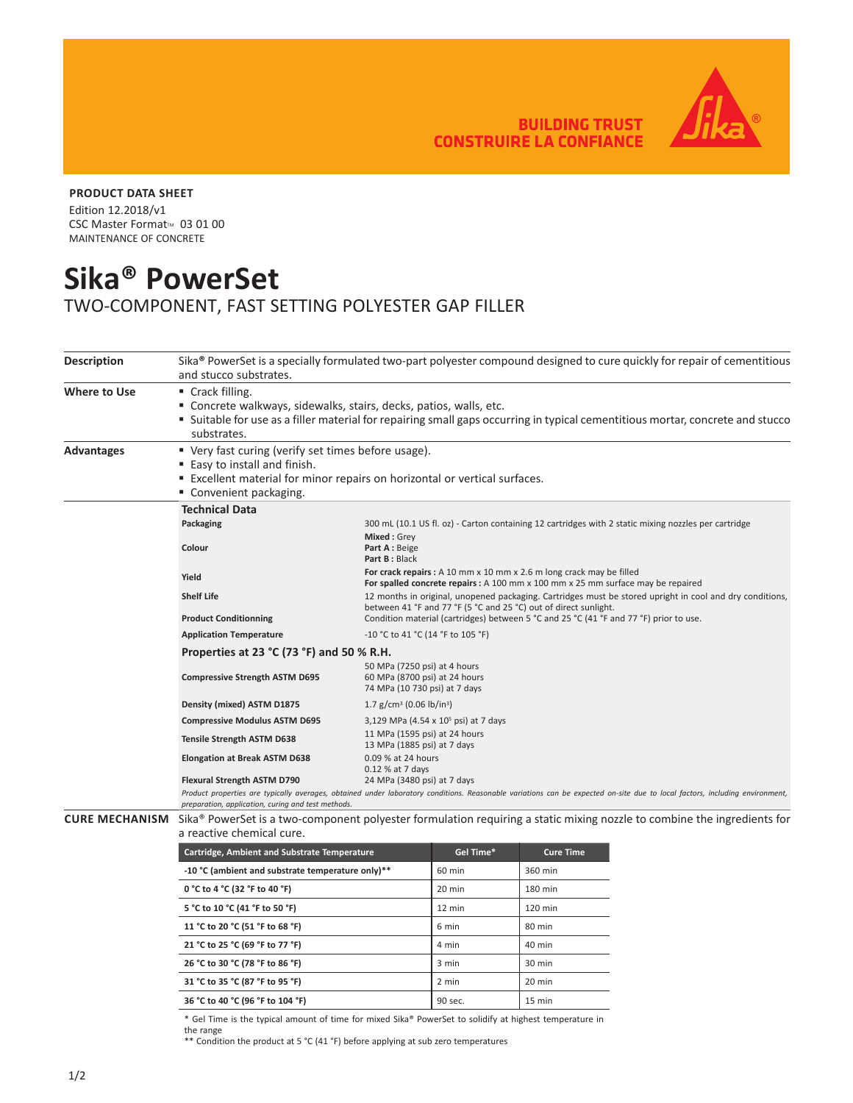**BUILDING TRUST<br>CONSTRUIRE LA CONFIANCE** 



## **PRODUCT DATA SHEET**

Edition 12.2018/v1 CSC Master Format<sup>™</sup> 03 01 00 MAINTENANCE OF CONCRETE

## **Sika® PowerSet**

TWO-COMPONENT, FAST SETTING POLYESTER GAP FILLER

| <b>Description</b>    | Sika <sup>®</sup> PowerSet is a specially formulated two-part polyester compound designed to cure quickly for repair of cementitious<br>and stucco substrates.                                                                                       |                                                                                                                                                                                                            |           |                  |  |  |  |
|-----------------------|------------------------------------------------------------------------------------------------------------------------------------------------------------------------------------------------------------------------------------------------------|------------------------------------------------------------------------------------------------------------------------------------------------------------------------------------------------------------|-----------|------------------|--|--|--|
| <b>Where to Use</b>   | $\blacksquare$ Crack filling.<br>" Concrete walkways, sidewalks, stairs, decks, patios, walls, etc.<br>" Suitable for use as a filler material for repairing small gaps occurring in typical cementitious mortar, concrete and stucco<br>substrates. |                                                                                                                                                                                                            |           |                  |  |  |  |
| <b>Advantages</b>     | ■ Very fast curing (verify set times before usage).<br>■ Easy to install and finish.<br>" Excellent material for minor repairs on horizontal or vertical surfaces.<br>■ Convenient packaging.                                                        |                                                                                                                                                                                                            |           |                  |  |  |  |
|                       | <b>Technical Data</b>                                                                                                                                                                                                                                |                                                                                                                                                                                                            |           |                  |  |  |  |
|                       | Packaging<br>300 mL (10.1 US fl. oz) - Carton containing 12 cartridges with 2 static mixing nozzles per cartridge                                                                                                                                    |                                                                                                                                                                                                            |           |                  |  |  |  |
|                       | Colour                                                                                                                                                                                                                                               | Mixed: Grey<br>Part A: Beige<br>Part B: Black                                                                                                                                                              |           |                  |  |  |  |
|                       | Yield                                                                                                                                                                                                                                                | For crack repairs : A 10 mm x 10 mm x 2.6 m long crack may be filled<br>For spalled concrete repairs : A 100 mm x 100 mm x 25 mm surface may be repaired                                                   |           |                  |  |  |  |
|                       | <b>Shelf Life</b>                                                                                                                                                                                                                                    | 12 months in original, unopened packaging. Cartridges must be stored upright in cool and dry conditions,                                                                                                   |           |                  |  |  |  |
|                       | <b>Product Conditionning</b>                                                                                                                                                                                                                         | between 41 °F and 77 °F (5 °C and 25 °C) out of direct sunlight.<br>Condition material (cartridges) between 5 °C and 25 °C (41 °F and 77 °F) prior to use.                                                 |           |                  |  |  |  |
|                       | <b>Application Temperature</b>                                                                                                                                                                                                                       | -10 °C to 41 °C (14 °F to 105 °F)                                                                                                                                                                          |           |                  |  |  |  |
|                       | Properties at 23 °C (73 °F) and 50 % R.H.                                                                                                                                                                                                            |                                                                                                                                                                                                            |           |                  |  |  |  |
|                       | <b>Compressive Strength ASTM D695</b>                                                                                                                                                                                                                | 50 MPa (7250 psi) at 4 hours<br>60 MPa (8700 psi) at 24 hours<br>74 MPa (10 730 psi) at 7 days                                                                                                             |           |                  |  |  |  |
|                       | Density (mixed) ASTM D1875                                                                                                                                                                                                                           | 1.7 g/cm <sup>3</sup> (0.06 lb/in <sup>3</sup> )                                                                                                                                                           |           |                  |  |  |  |
|                       | <b>Compressive Modulus ASTM D695</b>                                                                                                                                                                                                                 | 3,129 MPa (4.54 x 10 <sup>5</sup> psi) at 7 days                                                                                                                                                           |           |                  |  |  |  |
|                       | <b>Tensile Strength ASTM D638</b>                                                                                                                                                                                                                    | 11 MPa (1595 psi) at 24 hours<br>13 MPa (1885 psi) at 7 days                                                                                                                                               |           |                  |  |  |  |
|                       | <b>Elongation at Break ASTM D638</b>                                                                                                                                                                                                                 | 0.09 % at 24 hours<br>0.12 % at 7 days                                                                                                                                                                     |           |                  |  |  |  |
|                       | Flexural Strength ASTM D790                                                                                                                                                                                                                          | 24 MPa (3480 psi) at 7 days<br>Product properties are typically averages, obtained under laboratory conditions. Reasonable variations can be expected on-site due to local factors, including environment, |           |                  |  |  |  |
|                       | preparation, application, curing and test methods.                                                                                                                                                                                                   |                                                                                                                                                                                                            |           |                  |  |  |  |
| <b>CURE MECHANISM</b> | Sika® PowerSet is a two-component polyester formulation requiring a static mixing nozzle to combine the ingredients for<br>a reactive chemical cure.                                                                                                 |                                                                                                                                                                                                            |           |                  |  |  |  |
|                       | Cartridge, Ambient and Substrate Temperature                                                                                                                                                                                                         |                                                                                                                                                                                                            | Gel Time* | <b>Cure Time</b> |  |  |  |
|                       |                                                                                                                                                                                                                                                      | -10 °C (ambient and substrate temperature only)**                                                                                                                                                          |           | 360 min          |  |  |  |
|                       | 0 °C to 4 °C (32 °F to 40 °F)                                                                                                                                                                                                                        |                                                                                                                                                                                                            | 20 min    | 180 min          |  |  |  |
|                       | 5 °C to 10 °C (41 °F to 50 °F)                                                                                                                                                                                                                       |                                                                                                                                                                                                            | 12 min    | 120 min          |  |  |  |
|                       | 11 °C to 20 °C (51 °F to 68 °F)                                                                                                                                                                                                                      |                                                                                                                                                                                                            | 6 min     | 80 min           |  |  |  |
|                       | 21 °C to 25 °C (69 °F to 77 °F)                                                                                                                                                                                                                      |                                                                                                                                                                                                            | 4 min     | 40 min           |  |  |  |
|                       | 26 °C to 30 °C (78 °F to 86 °F)                                                                                                                                                                                                                      |                                                                                                                                                                                                            | 3 min     | 30 min           |  |  |  |
|                       | 31 °C to 35 °C (87 °F to 95 °F)                                                                                                                                                                                                                      |                                                                                                                                                                                                            | 2 min     | 20 min           |  |  |  |
|                       | 36 °C to 40 °C (96 °F to 104 °F)                                                                                                                                                                                                                     |                                                                                                                                                                                                            | 90 sec.   | 15 min           |  |  |  |
|                       | * Gel Time is the typical amount of time for mixed Sika® PowerSet to solidify at highest temperature in                                                                                                                                              |                                                                                                                                                                                                            |           |                  |  |  |  |

the range

\*\* Condition the product at 5 °C (41 °F) before applying at sub zero temperatures